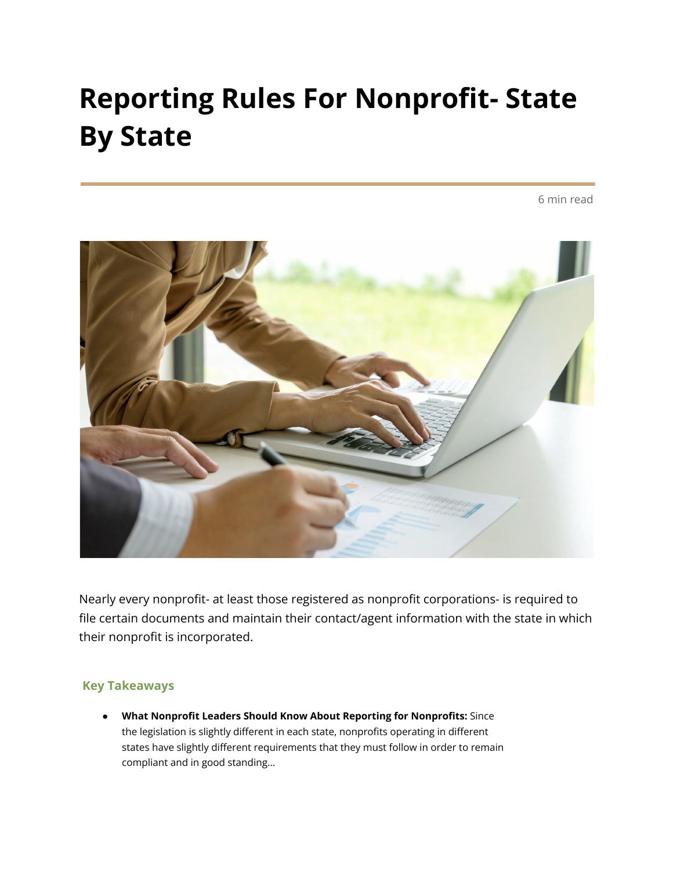### **Reporting Rules For Nonprofit- State By State**

6 min read



Nearly every nonprofit- at least those registered as nonprofit corporations- is required to file certain documents and maintain their contact/agent information with the state in which their nonprofit is incorporated.

#### **Key Takeaways**

● **What Nonprofit Leaders Should Know About Reporting for Nonprofits:** Since the legislation is slightly different in each state, nonprofits operating in different states have slightly different requirements that they must follow in order to remain compliant and in good standing...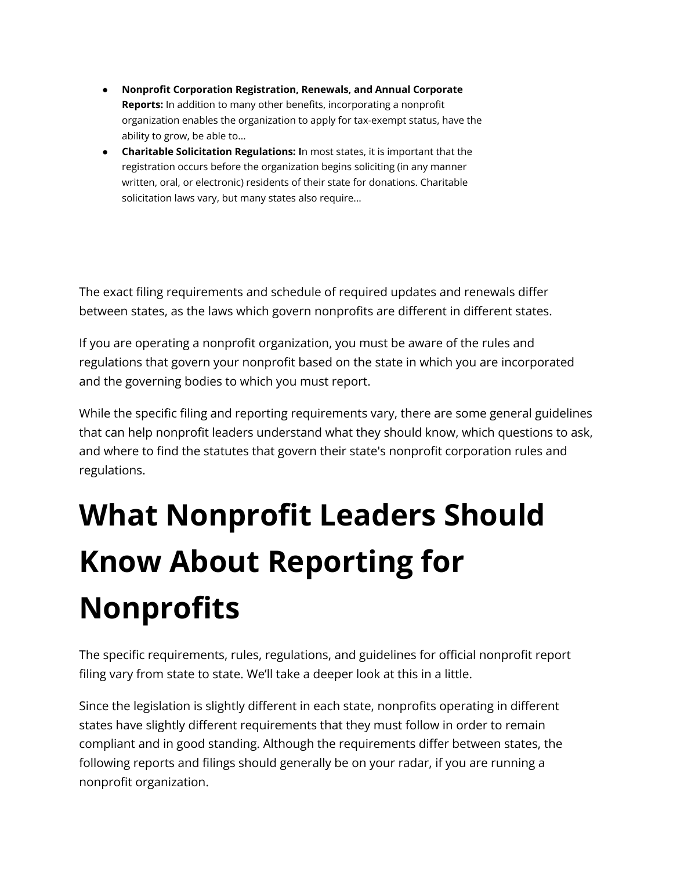- **Nonprofit Corporation Registration, Renewals, and Annual Corporate Reports:** In addition to many other benefits, incorporating a nonprofit organization enables the organization to apply for tax-exempt status, have the ability to grow, be able to...
- **Charitable Solicitation Regulations: I**n most states, it is important that the registration occurs before the organization begins soliciting (in any manner written, oral, or electronic) residents of their state for donations. Charitable solicitation laws vary, but many states also require...

The exact filing requirements and schedule of required updates and renewals differ between states, as the laws which govern nonprofits are different in different states.

If you are operating a nonprofit organization, you must be aware of the rules and regulations that govern your nonprofit based on the state in which you are incorporated and the governing bodies to which you must report.

While the specific filing and reporting requirements vary, there are some general guidelines that can help nonprofit leaders understand what they should know, which questions to ask, and where to find the statutes that govern their state's nonprofit corporation rules and regulations.

## **What Nonprofit Leaders Should Know About Reporting for Nonprofits**

The specific requirements, rules, regulations, and guidelines for official nonprofit report filing vary from state to state. We'll take a deeper look at this in a little.

Since the legislation is slightly different in each state, nonprofits operating in different states have slightly different requirements that they must follow in order to remain compliant and in good standing. Although the requirements differ between states, the following reports and filings should generally be on your radar, if you are running a nonprofit organization.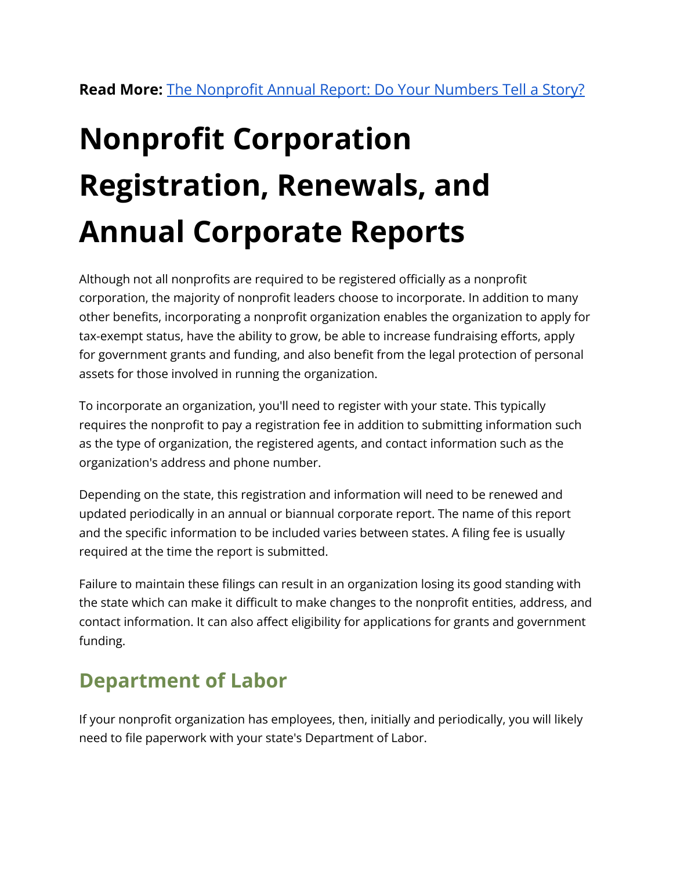# **Nonprofit Corporation Registration, Renewals, and Annual Corporate Reports**

Although not all nonprofits are required to be registered officially as a nonprofit corporation, the majority of nonprofit leaders choose to incorporate. In addition to many other benefits, incorporating a nonprofit organization enables the organization to apply for tax-exempt status, have the ability to grow, be able to increase fundraising efforts, apply for government grants and funding, and also benefit from the legal protection of personal assets for those involved in running the organization.

To incorporate an organization, you'll need to register with your state. This typically requires the nonprofit to pay a registration fee in addition to submitting information such as the type of organization, the registered agents, and contact information such as the organization's address and phone number.

Depending on the state, this registration and information will need to be renewed and updated periodically in an annual or biannual corporate report. The name of this report and the specific information to be included varies between states. A filing fee is usually required at the time the report is submitted.

Failure to maintain these filings can result in an organization losing its good standing with the state which can make it difficult to make changes to the nonprofit entities, address, and contact information. It can also affect eligibility for applications for grants and government funding.

### **Department of Labor**

If your nonprofit organization has employees, then, initially and periodically, you will likely need to file paperwork with your state's Department of Labor.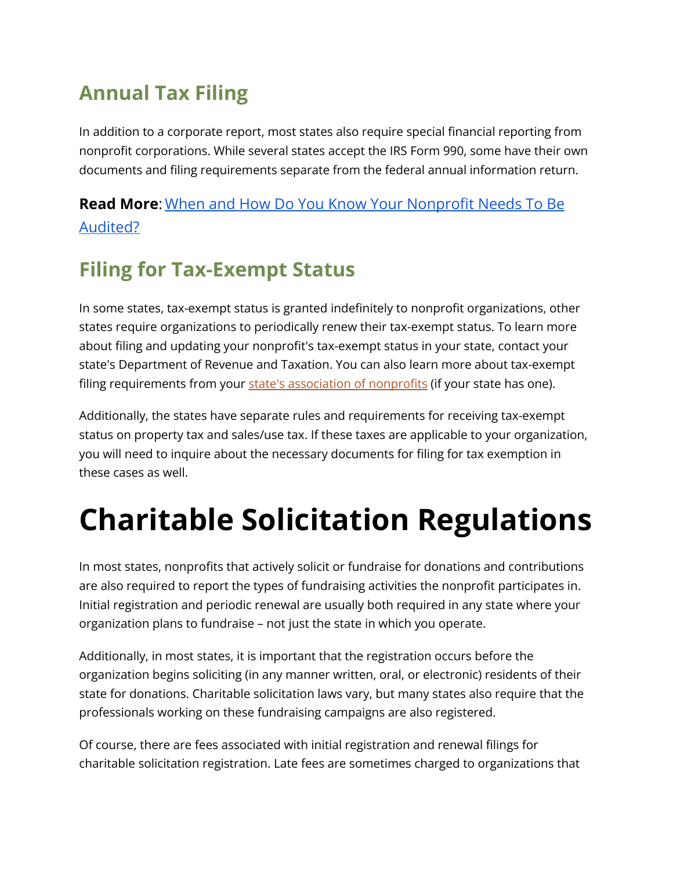### **Annual Tax Filing**

In addition to a corporate report, most states also require special financial reporting from nonprofit corporations. While several states accept the IRS Form 990, some have their own documents and filing requirements separate from the federal annual information return.

### **Read More**: [When and How Do You Know Your Nonprofit](https://www.growthforce.com/blog/nonprofit-audit) Needs To Be [Audited?](https://www.growthforce.com/blog/nonprofit-audit)

### **Filing for Tax-Exempt Status**

In some states, tax-exempt status is granted indefinitely to nonprofit organizations, other states require organizations to periodically renew their tax-exempt status. To learn more about filing and updating your nonprofit's tax-exempt status in your state, contact your state's Department of Revenue and Taxation. You can also learn more about tax-exempt filing requirements from your state's [association](https://www.councilofnonprofits.org/find-your-state-association) of nonprofits (if your state has one).

Additionally, the states have separate rules and requirements for receiving tax-exempt status on property tax and sales/use tax. If these taxes are applicable to your organization, you will need to inquire about the necessary documents for filing for tax exemption in these cases as well.

### **Charitable Solicitation Regulations**

In most states, nonprofits that actively solicit or fundraise for donations and contributions are also required to report the types of fundraising activities the nonprofit participates in. Initial registration and periodic renewal are usually both required in any state where your organization plans to fundraise – not just the state in which you operate.

Additionally, in most states, it is important that the registration occurs before the organization begins soliciting (in any manner written, oral, or electronic) residents of their state for donations. Charitable solicitation laws vary, but many states also require that the professionals working on these fundraising campaigns are also registered.

Of course, there are fees associated with initial registration and renewal filings for charitable solicitation registration. Late fees are sometimes charged to organizations that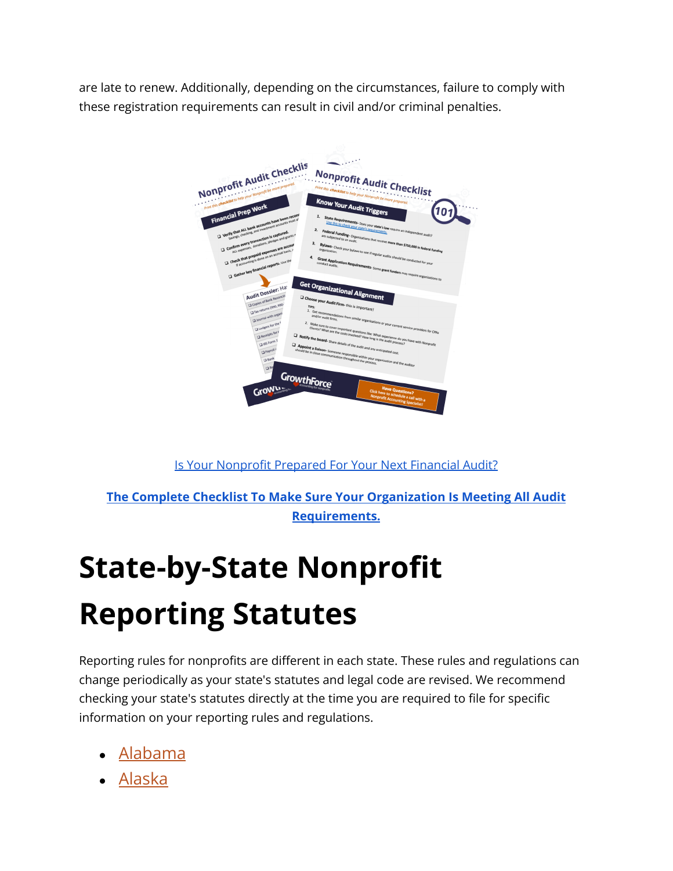are late to renew. Additionally, depending on the circumstances, failure to comply with these registration requirements can result in civil and/or criminal penalties.



Is Your [Nonprofit](https://www.growthforce.com/nonprofit-audit-checklist) Prepared For Your Next Financial Audit?

**The Complete Checklist To Make Sure Your [Organization](https://www.growthforce.com/nonprofit-audit-checklist) Is Meeting All Audit [Requirements.](https://www.growthforce.com/nonprofit-audit-checklist)**

### **State-by-State Nonprofit Reporting Statutes**

Reporting rules for nonprofits are different in each state. These rules and regulations can change periodically as your state's statutes and legal code are revised. We recommend checking your state's statutes directly at the time you are required to file for specific information on your reporting rules and regulations.

- [Alabama](https://casetext.com/statute/code-of-alabama/title-10a-alabama-business-and-nonprofit-entities-code/chapter-3-nonprofit-corporations)
- [Alaska](http://www.legis.state.ak.us/basis/statutes.asp)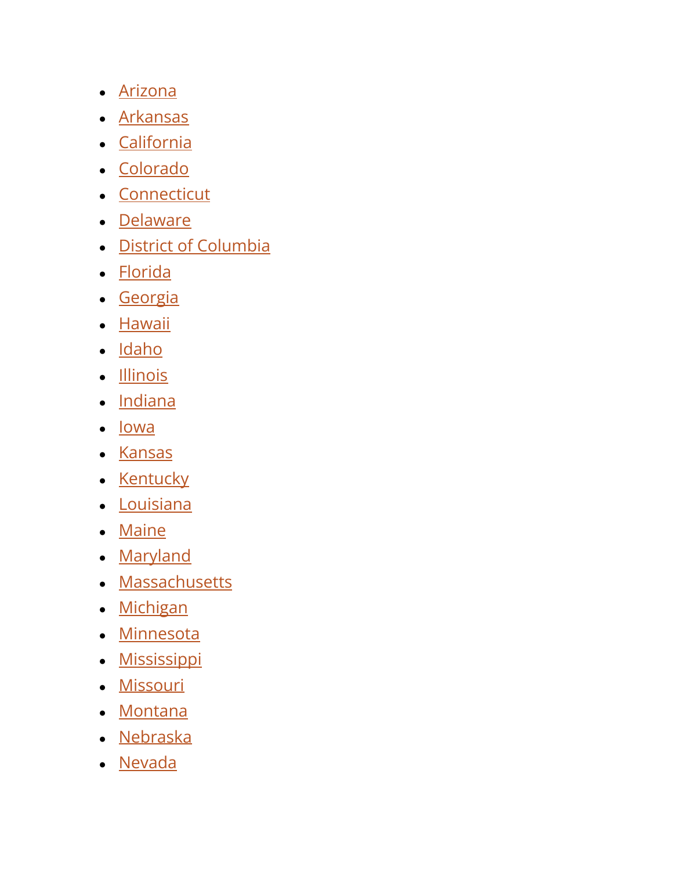- [Arizona](https://www.azleg.gov/arsDetail/?title=10)
- **[Arkansas](https://advance.lexis.com/container?config=00JAA3ZTU0NTIzYy0zZDEyLTRhYmQtYmRmMS1iMWIxNDgxYWMxZTQKAFBvZENhdGFsb2cubRW4ifTiwi5vLw6cI1uX&crid=87585f08-a0cd-44ea-8c6b-b38cd271209d&prid=dfa1be68-8e25-41c7-b02c-be337d1a4591)**
- [California](https://leginfo.legislature.ca.gov/faces/codesTOCSelected.xhtml?tocCode=CORP&tocTitle=+Corporations+Code+-+CORP)
- [Colorado](https://advance.lexis.com/container?config=0345494EJAA5ZjE0MDIyYy1kNzZkLTRkNzktYTkxMS04YmJhNjBlNWUwYzYKAFBvZENhdGFsb2e4CaPI4cak6laXLCWyLBO9&crid=a4c46af3-bb5f-4304-aaef-fb1d55c528e1)
- [Connecticut](https://www.cga.ct.gov/current/pub/chap_602.htm)
- [Delaware](https://delcode.delaware.gov/title6/c019/index.html)
- [District of Columbia](http://dccode.elaws.us/code?no=29-4)
- [Florida](https://www.flsenate.gov/Laws/Statutes/2019/Chapter617)
- [Georgia](https://rules.sos.ga.gov/GAC/590-7-1-.12)
- [Hawaii](https://www.capitol.hawaii.gov/hrscurrent/Vol08_Ch0401-0429/HRS0414D/HRS_0414D-.htm)
- [Idaho](https://legislature.idaho.gov/statutesrules/idstat/Title30/T30CH30/)
- [Illinois](https://www.ilga.gov/legislation/ilcs/ilcs3.asp?ActID=2280&ChapAct=805%26nbsp%3BILCS%26nbsp%3B105%2F&ChapterID=65&ChapterName=BUSINESS+ORGANIZATIONS&ActName=General+Not+For+Profit+Corporation+Act+of+1986%2E)
- [Indiana](http://iga.in.gov/legislative/laws/2021/ic/titles/001)
- [Iowa](https://www.legis.iowa.gov/law/iowaCode/sections?codeChapter=504&year=2015)
- [Kansas](http://www.kslegislature.org/li_2014/b2013_14/statute/017_000_0000_chapter/017_017_0000_article/)
- [Kentucky](https://apps.legislature.ky.gov/law/statutes/chapter.aspx?id=38571)
- [Louisiana](https://legis.la.gov/Legis/Law.aspx?d=76385)
- [Maine](https://legislature.maine.gov/statutes/13-B/title13-Bch0sec0.html)
- [Maryland](https://law.justia.com/codes/maryland/2010/corporations-and-associations/title-5/subtitle-2)
- [Massachusetts](https://malegislature.gov/Laws/GeneralLaws/PartI/TitleXXII/Chapter180)
- [Michigan](https://www.legislature.mi.gov/(S(2h45vzvljqb2z55f4jet4mcp))/mileg.aspx?page=getObject&objectName=mcl-Act-162-of-1982)
- [Minnesota](https://www.revisor.mn.gov/statutes/cite/317A)
- [Mississippi](https://advance.lexis.com/container?config=00JAAzNzhjOTYxNC0wZjRkLTQzNzAtYjJlYS1jNjExZWYxZGFhMGYKAFBvZENhdGFsb2cMlW40w5iIH7toHnTBIEP0&crid=5c73d650-9ba0-4200-a330-7b42f28f39d0)
- [Missouri](https://revisor.mo.gov/main/OneChapter.aspx?chapter=355)
- [Montana](https://leg.mt.gov/bills/mca/title_0350/chapter_0020/parts_index.html)
- [Nebraska](https://nebraskalegislature.gov/laws/browse-statutes.php)
- [Nevada](https://www.leg.state.nv.us/NRS/NRS-082.html)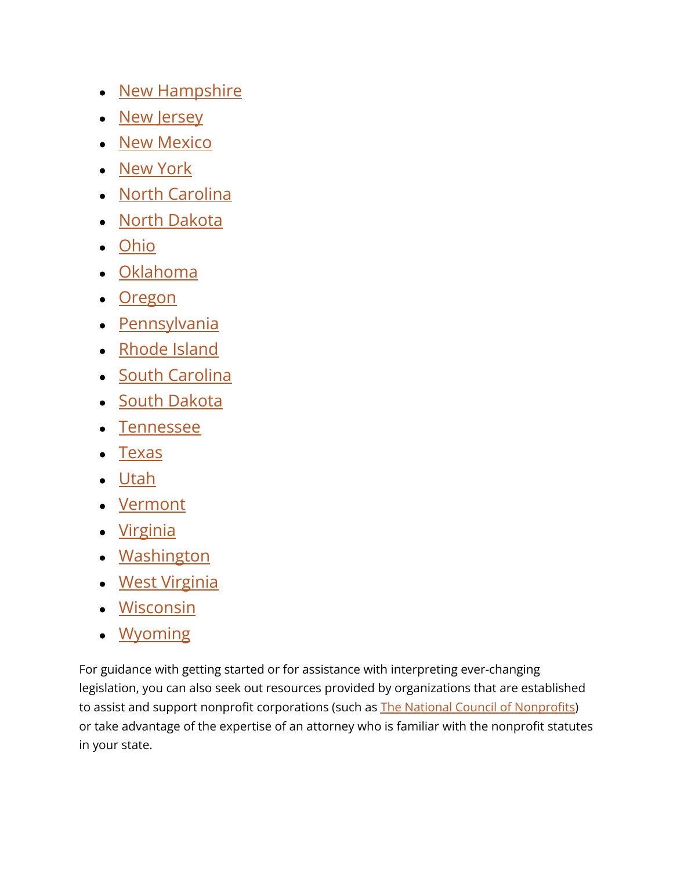- [New Hampshire](http://www.gencourt.state.nh.us/rsa/html/NHTOC/NHTOC-XXVII-292.htm)
- [New Jersey](https://nj.gov/state/dos-statutes-nonprofit.shtml)
- [New Mexico](https://nmonesource.com/nmos/nmsa/en/4400/1/document.do)
- [New York](https://www.nysenate.gov/legislation/laws/NPC)
- [North Carolina](https://www.ncleg.gov/Laws/GeneralStatuteSections/Chapter55A)
- [North Dakota](https://sos.nd.gov/business/nonprofit-services/nonprofit-corporation.html)
- [Ohio](https://codes.ohio.gov/ohio-revised-code/chapter-1702)
- [Oklahoma](http://www.oklegislature.gov/osStatuesTitle.aspx)
- [Oregon](https://www.oregonlegislature.gov/bills_laws/Pages/ORS.aspx)
- [Pennsylvania](https://www.pacodeandbulletin.gov/)
- [Rhode Island](http://webserver.rilin.state.ri.us/Statutes/TITLE7/7-6/INDEX.HTM)
- [South Carolina](https://www.scstatehouse.gov/code/t33c031.php)
- [South Dakota](https://sdlegislature.gov/Statutes/Codified_Laws/2069298)
- [Tennessee](https://advance.lexis.com/container?config=014CJAA5ZGVhZjA3NS02MmMzLTRlZWQtOGJjNC00YzQ1MmZlNzc2YWYKAFBvZENhdGFsb2e9zYpNUjTRaIWVfyrur9ud&crid=cce21194-9f84-4694-8274-5aa762525b88)
- [Texas](https://statutes.capitol.texas.gov/Docs/BO/htm/BO.22.htm)
- [Utah](https://le.utah.gov/xcode/Title16/Chapter6A/16-6a.html?v=C16-6a_1800010118000101)
- [Vermont](https://legislature.vermont.gov/statutes/title/11B)
- [Virginia](https://law.lis.virginia.gov/vacode/title13.1/chapter10/)
- [Washington](https://apps.leg.wa.gov/rcw/default.aspx?Cite=24)
- [West Virginia](https://www.wvlegislature.gov/wvcode/code.cfm?chap=31E&art=1)
- [Wisconsin](https://docs.legis.wisconsin.gov/statutes/index/index/n/nonprofit_organizations)
- [Wyoming](https://wyoleg.gov/StateStatutes/StatutesDownload)

For guidance with getting started or for assistance with interpreting ever-changing legislation, you can also seek out resources provided by organizations that are established to assist and support nonprofit corporations (such as The National Council of [Nonprofits](https://www.councilofnonprofits.org/)) or take advantage of the expertise of an attorney who is familiar with the nonprofit statutes in your state.